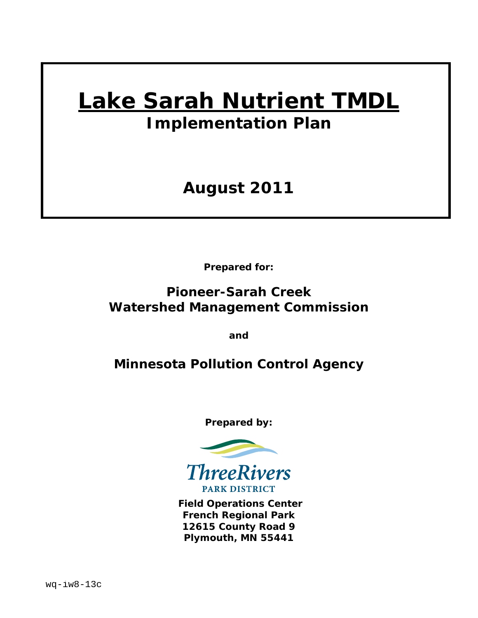# **Lake Sarah Nutrient TMDL**

*Implementation Plan* 

# **August 2011**

**Prepared for:** 

# **Pioneer-Sarah Creek Watershed Management Commission**

**and** 

# **Minnesota Pollution Control Agency**

**Prepared by:** 



 **Field Operations Center French Regional Park 12615 County Road 9 Plymouth, MN 55441**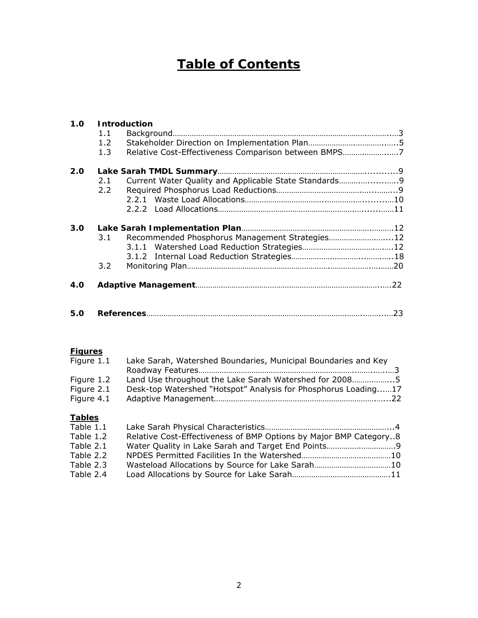# **Table of Contents**

|     |               | 1.0 Introduction                                      |     |
|-----|---------------|-------------------------------------------------------|-----|
|     | 1.1           |                                                       |     |
|     | $1.2^{\circ}$ |                                                       |     |
|     | 1.3           | Relative Cost-Effectiveness Comparison between BMPS7  |     |
| 2.0 |               |                                                       |     |
|     | 2.1           | Current Water Quality and Applicable State Standards9 |     |
|     | $2.2 -$       |                                                       |     |
|     |               |                                                       |     |
|     |               |                                                       |     |
| 3.0 |               |                                                       |     |
|     | 3.1           | Recommended Phosphorus Management Strategies12        |     |
|     |               |                                                       |     |
|     |               |                                                       |     |
|     | 3.2           |                                                       |     |
| 4.O |               |                                                       |     |
|     |               |                                                       |     |
| 5.0 |               |                                                       | .23 |

#### **Figures**

| Figure 1.1 | Lake Sarah, Watershed Boundaries, Municipal Boundaries and Key |  |
|------------|----------------------------------------------------------------|--|
|            |                                                                |  |
| Figure 1.2 | Land Use throughout the Lake Sarah Watershed for 20085         |  |
| Figure 2.1 | Desk-top Watershed "Hotspot" Analysis for Phosphorus Loading17 |  |
| Figure 4.1 |                                                                |  |
|            |                                                                |  |

#### **Tables**

| Table 1.1 |                                                                   |  |
|-----------|-------------------------------------------------------------------|--|
| Table 1.2 | Relative Cost-Effectiveness of BMP Options by Major BMP Category8 |  |
| Table 2.1 |                                                                   |  |
| Table 2.2 |                                                                   |  |
| Table 2.3 |                                                                   |  |
| Table 2.4 |                                                                   |  |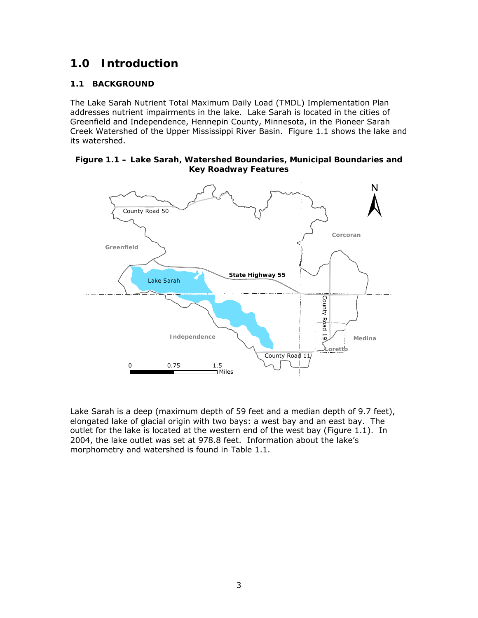# **1.0 Introduction**

#### **1.1 BACKGROUND**

The Lake Sarah Nutrient Total Maximum Daily Load (TMDL) Implementation Plan addresses nutrient impairments in the lake. Lake Sarah is located in the cities of Greenfield and Independence, Hennepin County, Minnesota, in the Pioneer Sarah Creek Watershed of the Upper Mississippi River Basin. Figure 1.1 shows the lake and its watershed.

#### **Figure 1.1 – Lake Sarah, Watershed Boundaries, Municipal Boundaries and Key Roadway Features**



Lake Sarah is a deep (maximum depth of 59 feet and a median depth of 9.7 feet), elongated lake of glacial origin with two bays: a west bay and an east bay. The outlet for the lake is located at the western end of the west bay (Figure 1.1). In 2004, the lake outlet was set at 978.8 feet. Information about the lake's morphometry and watershed is found in Table 1.1.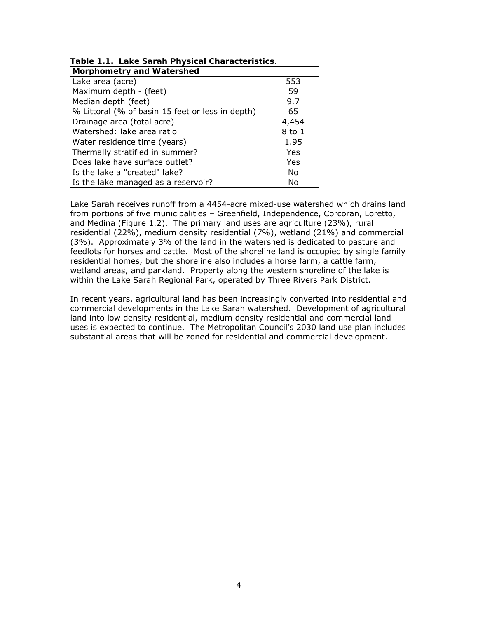| <b>Morphometry and Watershed</b>                 |        |
|--------------------------------------------------|--------|
| Lake area (acre)                                 | 553    |
| Maximum depth - (feet)                           | 59     |
| Median depth (feet)                              | 9.7    |
| % Littoral (% of basin 15 feet or less in depth) | 65     |
| Drainage area (total acre)                       | 4,454  |
| Watershed: lake area ratio                       | 8 to 1 |
| Water residence time (years)                     | 1.95   |
| Thermally stratified in summer?                  | Yes    |
| Does lake have surface outlet?                   | Yes    |
| Is the lake a "created" lake?                    | No     |
| Is the lake managed as a reservoir?              | No     |

|  | Table 1.1. Lake Sarah Physical Characteristics. |  |  |  |  |
|--|-------------------------------------------------|--|--|--|--|
|  |                                                 |  |  |  |  |

Lake Sarah receives runoff from a 4454-acre mixed-use watershed which drains land from portions of five municipalities – Greenfield, Independence, Corcoran, Loretto, and Medina (Figure 1.2). The primary land uses are agriculture (23%), rural residential (22%), medium density residential (7%), wetland (21%) and commercial (3%). Approximately 3% of the land in the watershed is dedicated to pasture and feedlots for horses and cattle. Most of the shoreline land is occupied by single family residential homes, but the shoreline also includes a horse farm, a cattle farm, wetland areas, and parkland. Property along the western shoreline of the lake is within the Lake Sarah Regional Park, operated by Three Rivers Park District.

In recent years, agricultural land has been increasingly converted into residential and commercial developments in the Lake Sarah watershed. Development of agricultural land into low density residential, medium density residential and commercial land uses is expected to continue. The Metropolitan Council's 2030 land use plan includes substantial areas that will be zoned for residential and commercial development.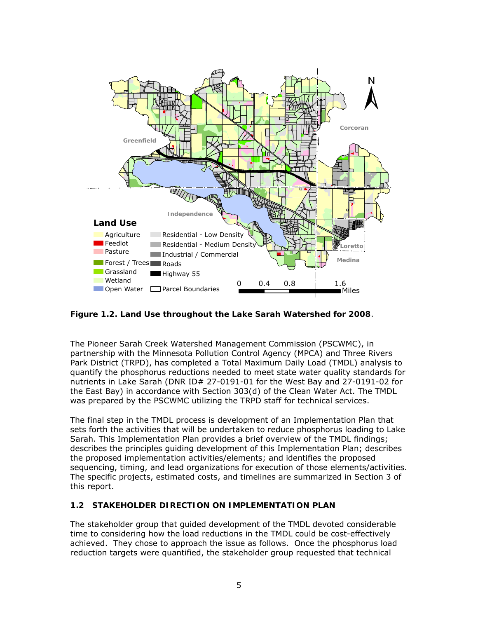

**Figure 1.2. Land Use throughout the Lake Sarah Watershed for 2008**.

The Pioneer Sarah Creek Watershed Management Commission (PSCWMC), in partnership with the Minnesota Pollution Control Agency (MPCA) and Three Rivers Park District (TRPD), has completed a Total Maximum Daily Load (TMDL) analysis to quantify the phosphorus reductions needed to meet state water quality standards for nutrients in Lake Sarah (DNR ID# 27-0191-01 for the West Bay and 27-0191-02 for the East Bay) in accordance with Section 303(d) of the Clean Water Act. The TMDL was prepared by the PSCWMC utilizing the TRPD staff for technical services.

The final step in the TMDL process is development of an Implementation Plan that sets forth the activities that will be undertaken to reduce phosphorus loading to Lake Sarah. This Implementation Plan provides a brief overview of the TMDL findings; describes the principles guiding development of this Implementation Plan; describes the proposed implementation activities/elements; and identifies the proposed sequencing, timing, and lead organizations for execution of those elements/activities. The specific projects, estimated costs, and timelines are summarized in Section 3 of this report.

#### **1.2 STAKEHOLDER DIRECTION ON IMPLEMENTATION PLAN**

The stakeholder group that guided development of the TMDL devoted considerable time to considering how the load reductions in the TMDL could be cost-effectively achieved. They chose to approach the issue as follows. Once the phosphorus load reduction targets were quantified, the stakeholder group requested that technical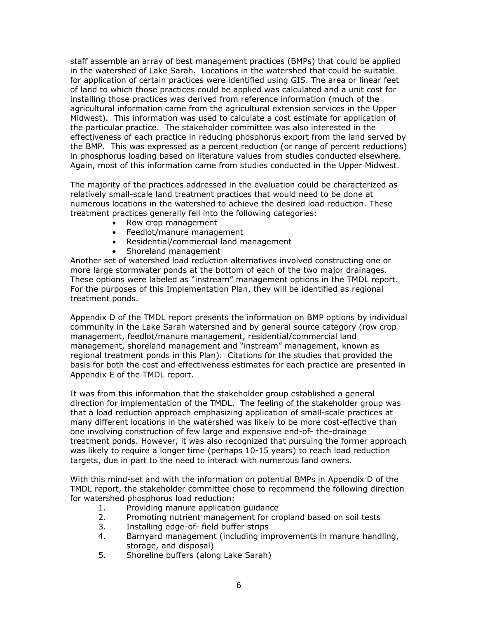staff assemble an array of best management practices (BMPs) that could be applied in the watershed of Lake Sarah. Locations in the watershed that could be suitable for application of certain practices were identified using GIS. The area or linear feet of land to which those practices could be applied was calculated and a unit cost for installing those practices was derived from reference information (much of the agricultural information came from the agricultural extension services in the Upper Midwest). This information was used to calculate a cost estimate for application of the particular practice. The stakeholder committee was also interested in the effectiveness of each practice in reducing phosphorus export from the land served by the BMP. This was expressed as a percent reduction (or range of percent reductions) in phosphorus loading based on literature values from studies conducted elsewhere. Again, most of this information came from studies conducted in the Upper Midwest.

The majority of the practices addressed in the evaluation could be characterized as relatively small-scale land treatment practices that would need to be done at numerous locations in the watershed to achieve the desired load reduction. These treatment practices generally fell into the following categories:

- Row crop management
- Feedlot/manure management
- Residential/commercial land management
- Shoreland management

Another set of watershed load reduction alternatives involved constructing one or more large stormwater ponds at the bottom of each of the two major drainages. These options were labeled as "instream" management options in the TMDL report. For the purposes of this Implementation Plan, they will be identified as regional treatment ponds.

Appendix D of the TMDL report presents the information on BMP options by individual community in the Lake Sarah watershed and by general source category (row crop management, feedlot/manure management, residential/commercial land management, shoreland management and "instream" management, known as regional treatment ponds in this Plan). Citations for the studies that provided the basis for both the cost and effectiveness estimates for each practice are presented in Appendix E of the TMDL report.

It was from this information that the stakeholder group established a general direction for implementation of the TMDL. The feeling of the stakeholder group was that a load reduction approach emphasizing application of small-scale practices at many different locations in the watershed was likely to be more cost-effective than one involving construction of few large and expensive end-of- the-drainage treatment ponds. However, it was also recognized that pursuing the former approach was likely to require a longer time (perhaps 10-15 years) to reach load reduction targets, due in part to the need to interact with numerous land owners.

With this mind-set and with the information on potential BMPs in Appendix D of the TMDL report, the stakeholder committee chose to recommend the following direction for watershed phosphorus load reduction:

- 1. Providing manure application guidance
- 2. Promoting nutrient management for cropland based on soil tests
- 3. Installing edge-of- field buffer strips
- 4. Barnyard management (including improvements in manure handling, storage, and disposal)
- 5. Shoreline buffers (along Lake Sarah)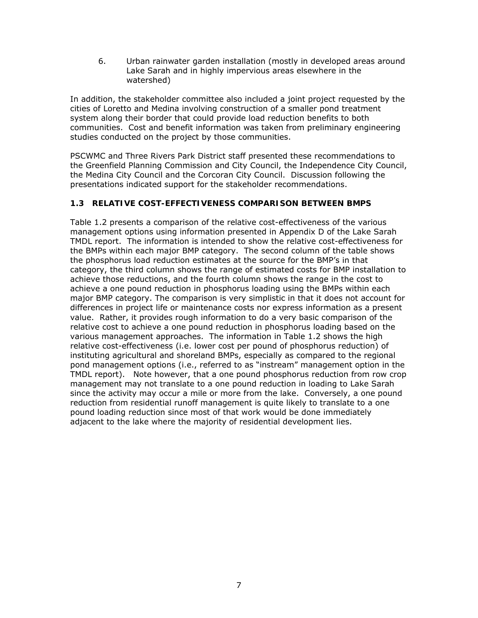6. Urban rainwater garden installation (mostly in developed areas around Lake Sarah and in highly impervious areas elsewhere in the watershed)

In addition, the stakeholder committee also included a joint project requested by the cities of Loretto and Medina involving construction of a smaller pond treatment system along their border that could provide load reduction benefits to both communities. Cost and benefit information was taken from preliminary engineering studies conducted on the project by those communities.

PSCWMC and Three Rivers Park District staff presented these recommendations to the Greenfield Planning Commission and City Council, the Independence City Council, the Medina City Council and the Corcoran City Council. Discussion following the presentations indicated support for the stakeholder recommendations.

#### **1.3 RELATIVE COST-EFFECTIVENESS COMPARISON BETWEEN BMPS**

Table 1.2 presents a comparison of the relative cost-effectiveness of the various management options using information presented in Appendix D of the Lake Sarah TMDL report. The information is intended to show the relative cost-effectiveness for the BMPs within each major BMP category. The second column of the table shows the phosphorus load reduction estimates at the source for the BMP's in that category, the third column shows the range of estimated costs for BMP installation to achieve those reductions, and the fourth column shows the range in the cost to achieve a one pound reduction in phosphorus loading using the BMPs within each major BMP category. The comparison is very simplistic in that it does not account for differences in project life or maintenance costs nor express information as a present value. Rather, it provides rough information to do a very basic comparison of the relative cost to achieve a one pound reduction in phosphorus loading based on the various management approaches. The information in Table 1.2 shows the high relative cost-effectiveness (i.e. lower cost per pound of phosphorus reduction) of instituting agricultural and shoreland BMPs, especially as compared to the regional pond management options (i.e., referred to as "instream" management option in the TMDL report). Note however, that a one pound phosphorus reduction from row crop management may not translate to a one pound reduction in loading to Lake Sarah since the activity may occur a mile or more from the lake. Conversely, a one pound reduction from residential runoff management is quite likely to translate to a one pound loading reduction since most of that work would be done immediately adjacent to the lake where the majority of residential development lies.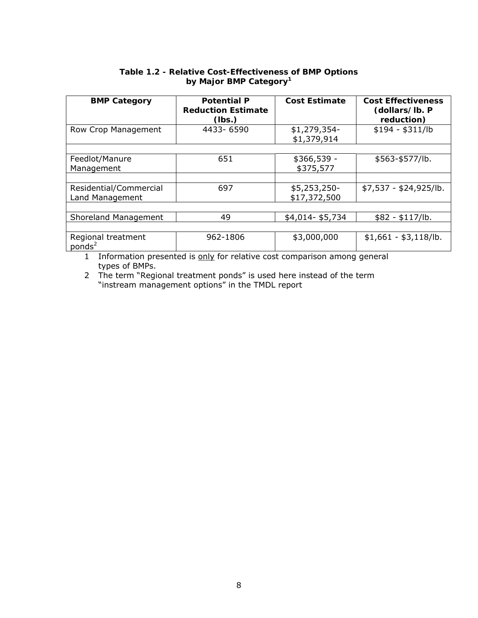| <b>BMP Category</b>                       | <b>Potential P</b><br><b>Reduction Estimate</b><br>(lbs.) | <b>Cost Estimate</b>         | <b>Cost Effectiveness</b><br>(dollars/lb. P<br>reduction) |  |
|-------------------------------------------|-----------------------------------------------------------|------------------------------|-----------------------------------------------------------|--|
| Row Crop Management                       | 4433-6590                                                 | \$1,279,354-<br>\$1,379,914  | $$194 - $311/lb$                                          |  |
|                                           |                                                           |                              |                                                           |  |
| Feedlot/Manure<br>Management              | 651                                                       | \$366,539 -<br>\$375,577     | \$563-\$577/lb.                                           |  |
|                                           |                                                           |                              |                                                           |  |
| Residential/Commercial<br>Land Management | 697                                                       | \$5,253,250-<br>\$17,372,500 | $$7,537 - $24,925/lb.$                                    |  |
|                                           |                                                           |                              |                                                           |  |
| Shoreland Management                      | 49                                                        | \$4,014-\$5,734              | $$82 - $117/lb.$                                          |  |
|                                           |                                                           |                              |                                                           |  |
| Regional treatment<br>ponds <sup>2</sup>  | 962-1806                                                  | \$3,000,000                  | $$1,661 - $3,118/b.$                                      |  |

#### **Table 1.2 - Relative Cost-Effectiveness of BMP Options by Major BMP Category1**

1 Information presented is only for relative cost comparison among general types of BMPs.

2 The term "Regional treatment ponds" is used here instead of the term "instream management options" in the TMDL report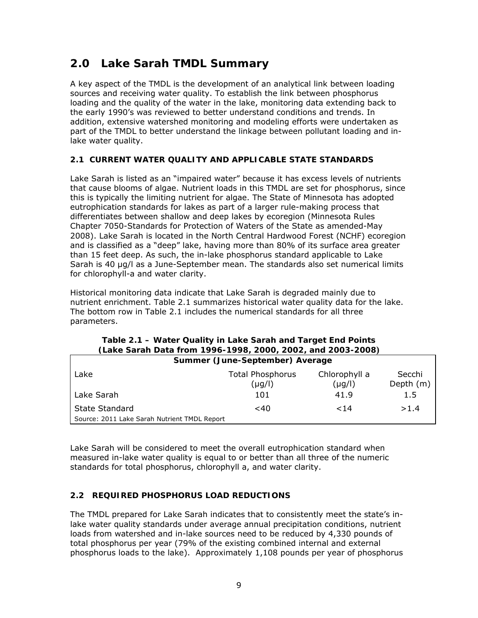# **2.0 Lake Sarah TMDL Summary**

A key aspect of the TMDL is the development of an analytical link between loading sources and receiving water quality. To establish the link between phosphorus loading and the quality of the water in the lake, monitoring data extending back to the early 1990's was reviewed to better understand conditions and trends. In addition, extensive watershed monitoring and modeling efforts were undertaken as part of the TMDL to better understand the linkage between pollutant loading and inlake water quality.

#### **2.1 CURRENT WATER QUALITY AND APPLICABLE STATE STANDARDS**

Lake Sarah is listed as an "impaired water" because it has excess levels of nutrients that cause blooms of algae. Nutrient loads in this TMDL are set for phosphorus, since this is typically the limiting nutrient for algae. The State of Minnesota has adopted eutrophication standards for lakes as part of a larger rule-making process that differentiates between shallow and deep lakes by ecoregion (Minnesota Rules Chapter 7050-Standards for Protection of Waters of the State as amended-May 2008). Lake Sarah is located in the North Central Hardwood Forest (NCHF) ecoregion and is classified as a "deep" lake, having more than 80% of its surface area greater than 15 feet deep. As such, the in-lake phosphorus standard applicable to Lake Sarah is 40 μg/l as a June-September mean. The standards also set numerical limits for chlorophyll-a and water clarity.

Historical monitoring data indicate that Lake Sarah is degraded mainly due to nutrient enrichment. Table 2.1 summarizes historical water quality data for the lake. The bottom row in Table 2.1 includes the numerical standards for all three parameters.

| Law Sarah Data Mont 1770-1770, 2000, 2002, and 2003-2000, |                            |                              |                     |  |  |  |
|-----------------------------------------------------------|----------------------------|------------------------------|---------------------|--|--|--|
| Summer (June-September) Average                           |                            |                              |                     |  |  |  |
| Lake                                                      | Total Phosphorus<br>(µg/l) | Chlorophyll a<br>$(\mu g/l)$ | Secchi<br>Depth (m) |  |  |  |
| Lake Sarah                                                | 101                        | 41.9                         | 1.5                 |  |  |  |
| State Standard                                            | $<$ 40                     | 14                           | >1.4                |  |  |  |
| Source: 2011 Lake Sarah Nutrient TMDL Report              |                            |                              |                     |  |  |  |

#### **Table 2.1 – Water Quality in Lake Sarah and Target End Points (Lake Sarah Data from 1996-1998, 2000, 2002, and 2003-2008)**

Lake Sarah will be considered to meet the overall eutrophication standard when measured in-lake water quality is equal to or better than all three of the numeric standards for total phosphorus, chlorophyll a, and water clarity.

#### **2.2 REQUIRED PHOSPHORUS LOAD REDUCTIONS**

The TMDL prepared for Lake Sarah indicates that to consistently meet the state's inlake water quality standards under average annual precipitation conditions, nutrient loads from watershed and in-lake sources need to be reduced by 4,330 pounds of total phosphorus per year (79% of the existing combined internal and external phosphorus loads to the lake). Approximately 1,108 pounds per year of phosphorus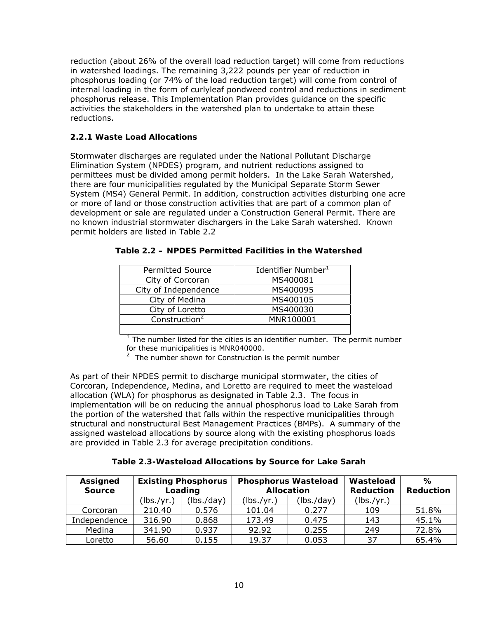reduction (about 26% of the overall load reduction target) will come from reductions in watershed loadings. The remaining 3,222 pounds per year of reduction in phosphorus loading (or 74% of the load reduction target) will come from control of internal loading in the form of curlyleaf pondweed control and reductions in sediment phosphorus release. This Implementation Plan provides guidance on the specific activities the stakeholders in the watershed plan to undertake to attain these reductions.

#### **2.2.1 Waste Load Allocations**

Stormwater discharges are regulated under the National Pollutant Discharge Elimination System (NPDES) program, and nutrient reductions assigned to permittees must be divided among permit holders. In the Lake Sarah Watershed, there are four municipalities regulated by the Municipal Separate Storm Sewer System (MS4) General Permit. In addition, construction activities disturbing one acre or more of land or those construction activities that are part of a common plan of development or sale are regulated under a Construction General Permit. There are no known industrial stormwater dischargers in the Lake Sarah watershed. Known permit holders are listed in Table 2.2

| <b>Permitted Source</b>            | Identifier Number <sup>1</sup> |
|------------------------------------|--------------------------------|
| City of Corcoran                   | MS400081                       |
| City of Independence               | MS400095                       |
| City of Medina                     | MS400105                       |
| City of Loretto                    | MS400030                       |
| $\overline{\text{Construction}}^2$ | MNR100001                      |
|                                    |                                |

| Table 2.2 – NPDES Permitted Facilities in the Watershed |  |  |
|---------------------------------------------------------|--|--|
|---------------------------------------------------------|--|--|

 $1$  The number listed for the cities is an identifier number. The permit number for these municipalities is MNR040000.

 $2$  The number shown for Construction is the permit number

As part of their NPDES permit to discharge municipal stormwater, the cities of Corcoran, Independence, Medina, and Loretto are required to meet the wasteload allocation (WLA) for phosphorus as designated in Table 2.3. The focus in implementation will be on reducing the annual phosphorus load to Lake Sarah from the portion of the watershed that falls within the respective municipalities through structural and nonstructural Best Management Practices (BMPs). A summary of the assigned wasteload allocations by source along with the existing phosphorus loads are provided in Table 2.3 for average precipitation conditions.

**Table 2.3-Wasteload Allocations by Source for Lake Sarah** 

| <b>Assigned</b><br><b>Source</b> | <b>Existing Phosphorus</b><br>Loading |            | <b>Phosphorus Wasteload</b><br><b>Allocation</b> |            | Wasteload<br><b>Reduction</b> | ℅<br><b>Reduction</b> |
|----------------------------------|---------------------------------------|------------|--------------------------------------------------|------------|-------------------------------|-----------------------|
|                                  | (lbs./yr.)                            | (lbs./day) | (lbs./yr.)                                       | (lbs./day) | (lbs./yr.)                    |                       |
| Corcoran                         | 210.40                                | 0.576      | 101.04                                           | 0.277      | 109                           | 51.8%                 |
| Independence                     | 316.90                                | 0.868      | 173.49                                           | 0.475      | 143                           | 45.1%                 |
| Medina                           | 341.90                                | 0.937      | 92.92                                            | 0.255      | 249                           | 72.8%                 |
| Loretto                          | 56.60                                 | 0.155      | 19.37                                            | 0.053      | 37                            | 65.4%                 |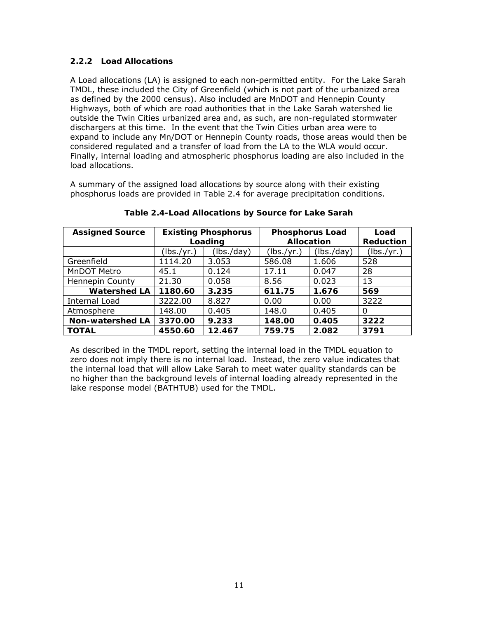#### **2.2.2 Load Allocations**

A Load allocations (LA) is assigned to each non-permitted entity. For the Lake Sarah TMDL, these included the City of Greenfield (which is not part of the urbanized area as defined by the 2000 census). Also included are MnDOT and Hennepin County Highways, both of which are road authorities that in the Lake Sarah watershed lie outside the Twin Cities urbanized area and, as such, are non-regulated stormwater dischargers at this time. In the event that the Twin Cities urban area were to expand to include any Mn/DOT or Hennepin County roads, those areas would then be considered regulated and a transfer of load from the LA to the WLA would occur. Finally, internal loading and atmospheric phosphorus loading are also included in the load allocations.

A summary of the assigned load allocations by source along with their existing phosphorus loads are provided in Table 2.4 for average precipitation conditions.

| <b>Assigned Source</b>  | <b>Existing Phosphorus</b><br>Loading |            | <b>Phosphorus Load</b><br><b>Allocation</b> |            | Load<br><b>Reduction</b> |
|-------------------------|---------------------------------------|------------|---------------------------------------------|------------|--------------------------|
|                         | (lbs./yr.)                            | (lbs./day) | (lbs./yr.)                                  | (lbs./day) | (lbs./yr.)               |
| Greenfield              | 1114.20                               | 3.053      | 586.08                                      | 1.606      | 528                      |
| MnDOT Metro             | 45.1                                  | 0.124      | 17.11                                       | 0.047      | 28                       |
| <b>Hennepin County</b>  | 21.30                                 | 0.058      | 8.56                                        | 0.023      | 13                       |
| <b>Watershed LA</b>     | 1180.60                               | 3.235      | 611.75                                      | 1.676      | 569                      |
| Internal Load           | 3222.00                               | 8.827      | 0.00                                        | 0.00       | 3222                     |
| Atmosphere              | 148.00                                | 0.405      | 148.0                                       | 0.405      | 0                        |
| <b>Non-watershed LA</b> | 3370.00                               | 9.233      | 148.00                                      | 0.405      | 3222                     |
| <b>TOTAL</b>            | 4550.60                               | 12.467     | 759.75                                      | 2.082      | 3791                     |

**Table 2.4-Load Allocations by Source for Lake Sarah** 

As described in the TMDL report, setting the internal load in the TMDL equation to zero does not imply there is no internal load. Instead, the zero value indicates that the internal load that will allow Lake Sarah to meet water quality standards can be no higher than the background levels of internal loading already represented in the lake response model (BATHTUB) used for the TMDL.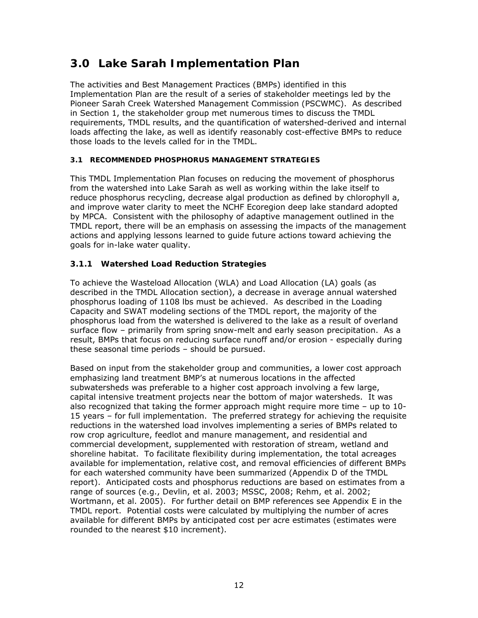# **3.0 Lake Sarah Implementation Plan**

The activities and Best Management Practices (BMPs) identified in this Implementation Plan are the result of a series of stakeholder meetings led by the Pioneer Sarah Creek Watershed Management Commission (PSCWMC). As described in Section 1, the stakeholder group met numerous times to discuss the TMDL requirements, TMDL results, and the quantification of watershed-derived and internal loads affecting the lake, as well as identify reasonably cost-effective BMPs to reduce those loads to the levels called for in the TMDL.

#### **3.1 RECOMMENDED PHOSPHORUS MANAGEMENT STRATEGIES**

This TMDL Implementation Plan focuses on reducing the movement of phosphorus from the watershed into Lake Sarah as well as working within the lake itself to reduce phosphorus recycling, decrease algal production as defined by chlorophyll a, and improve water clarity to meet the NCHF Ecoregion deep lake standard adopted by MPCA. Consistent with the philosophy of adaptive management outlined in the TMDL report, there will be an emphasis on assessing the impacts of the management actions and applying lessons learned to guide future actions toward achieving the goals for in-lake water quality.

#### **3.1.1 Watershed Load Reduction Strategies**

To achieve the Wasteload Allocation (WLA) and Load Allocation (LA) goals (as described in the TMDL Allocation section), a decrease in average annual watershed phosphorus loading of 1108 lbs must be achieved. As described in the Loading Capacity and SWAT modeling sections of the TMDL report, the majority of the phosphorus load from the watershed is delivered to the lake as a result of overland surface flow – primarily from spring snow-melt and early season precipitation. As a result, BMPs that focus on reducing surface runoff and/or erosion - especially during these seasonal time periods – should be pursued.

Based on input from the stakeholder group and communities, a lower cost approach emphasizing land treatment BMP's at numerous locations in the affected subwatersheds was preferable to a higher cost approach involving a few large, capital intensive treatment projects near the bottom of major watersheds. It was also recognized that taking the former approach might require more time – up to 10- 15 years – for full implementation. The preferred strategy for achieving the requisite reductions in the watershed load involves implementing a series of BMPs related to row crop agriculture, feedlot and manure management, and residential and commercial development, supplemented with restoration of stream, wetland and shoreline habitat. To facilitate flexibility during implementation, the total acreages available for implementation, relative cost, and removal efficiencies of different BMPs for each watershed community have been summarized (Appendix D of the TMDL report). Anticipated costs and phosphorus reductions are based on estimates from a range of sources (e.g., Devlin, et al. 2003; MSSC, 2008; Rehm, et al. 2002; Wortmann, et al. 2005). For further detail on BMP references see Appendix E in the TMDL report. Potential costs were calculated by multiplying the number of acres available for different BMPs by anticipated cost per acre estimates (estimates were rounded to the nearest \$10 increment).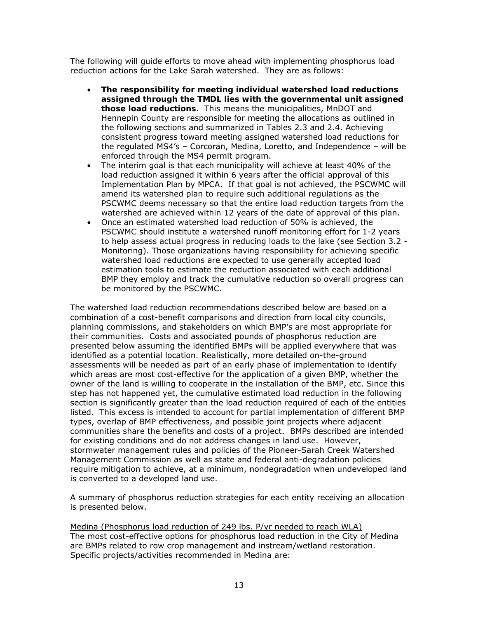The following will guide efforts to move ahead with implementing phosphorus load reduction actions for the Lake Sarah watershed. They are as follows:

- **The responsibility for meeting individual watershed load reductions assigned through the TMDL lies with the governmental unit assigned those load reductions**. This means the municipalities, MnDOT and Hennepin County are responsible for meeting the allocations as outlined in the following sections and summarized in Tables 2.3 and 2.4. Achieving consistent progress toward meeting assigned watershed load reductions for the regulated MS4's – Corcoran, Medina, Loretto, and Independence – will be enforced through the MS4 permit program.
- The interim goal is that each municipality will achieve at least 40% of the load reduction assigned it within 6 years after the official approval of this Implementation Plan by MPCA. If that goal is not achieved, the PSCWMC will amend its watershed plan to require such additional regulations as the PSCWMC deems necessary so that the entire load reduction targets from the watershed are achieved within 12 years of the date of approval of this plan.
- Once an estimated watershed load reduction of 50% is achieved, the PSCWMC should institute a watershed runoff monitoring effort for 1-2 years to help assess actual progress in reducing loads to the lake (see Section 3.2 - Monitoring). Those organizations having responsibility for achieving specific watershed load reductions are expected to use generally accepted load estimation tools to estimate the reduction associated with each additional BMP they employ and track the cumulative reduction so overall progress can be monitored by the PSCWMC.

The watershed load reduction recommendations described below are based on a combination of a cost-benefit comparisons and direction from local city councils, planning commissions, and stakeholders on which BMP's are most appropriate for their communities. Costs and associated pounds of phosphorus reduction are presented below assuming the identified BMPs will be applied everywhere that was identified as a potential location. Realistically, more detailed on-the-ground assessments will be needed as part of an early phase of implementation to identify which areas are most cost-effective for the application of a given BMP, whether the owner of the land is willing to cooperate in the installation of the BMP, etc. Since this step has not happened yet, the cumulative estimated load reduction in the following section is significantly greater than the load reduction required of each of the entities listed. This excess is intended to account for partial implementation of different BMP types, overlap of BMP effectiveness, and possible joint projects where adjacent communities share the benefits and costs of a project. BMPs described are intended for existing conditions and do not address changes in land use. However, stormwater management rules and policies of the Pioneer-Sarah Creek Watershed Management Commission as well as state and federal anti-degradation policies require mitigation to achieve, at a minimum, nondegradation when undeveloped land is converted to a developed land use.

A summary of phosphorus reduction strategies for each entity receiving an allocation is presented below.

Medina (Phosphorus load reduction of 249 lbs. P/yr needed to reach WLA) The most cost-effective options for phosphorus load reduction in the City of Medina are BMPs related to row crop management and instream/wetland restoration. Specific projects/activities recommended in Medina are: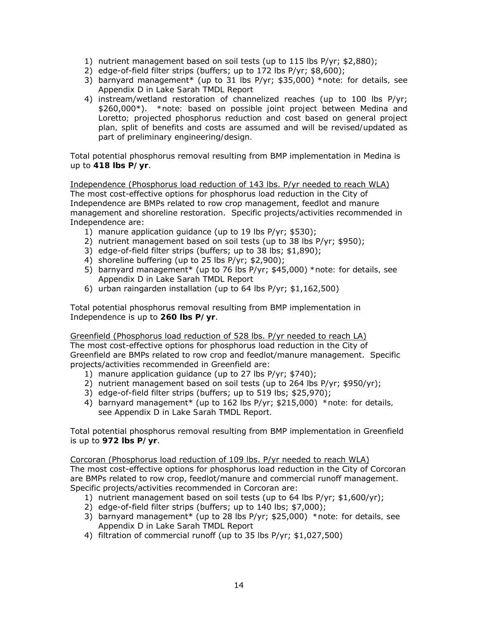- 1) nutrient management based on soil tests (up to 115 lbs P/yr; \$2,880);
- 2) edge-of-field filter strips (buffers; up to 172 lbs P/yr; \$8,600);
- 3) barnyard management\* (up to 31 lbs P/yr; \$35,000) *\*note: for details, see Appendix D in Lake Sarah TMDL Report*
- 4) instream/wetland restoration of channelized reaches (up to 100 lbs P/yr; \$260,000\*). *\*note: based on possible joint project between Medina and Loretto; projected phosphorus reduction and cost based on general project plan, split of benefits and costs are assumed and will be revised/updated as part of preliminary engineering/design.*

Total potential phosphorus removal resulting from BMP implementation in Medina is up to **418 lbs P/yr**.

Independence (Phosphorus load reduction of 143 lbs. P/yr needed to reach WLA) The most cost-effective options for phosphorus load reduction in the City of Independence are BMPs related to row crop management, feedlot and manure management and shoreline restoration. Specific projects/activities recommended in Independence are:

- 1) manure application guidance (up to 19 lbs P/yr; \$530);
- 2) nutrient management based on soil tests (up to 38 lbs P/yr; \$950);
- 3) edge-of-field filter strips (buffers; up to 38 lbs; \$1,890);
- 4) shoreline buffering (up to 25 lbs P/yr; \$2,900);
- 5) barnyard management\* (up to 76 lbs P/yr; \$45,000) *\*note: for details, see Appendix D in Lake Sarah TMDL Report*
- 6) urban raingarden installation (up to 64 lbs P/yr; \$1,162,500)

Total potential phosphorus removal resulting from BMP implementation in Independence is up to **260 lbs P/yr**.

Greenfield (Phosphorus load reduction of 528 lbs. P/yr needed to reach LA) The most cost-effective options for phosphorus load reduction in the City of Greenfield are BMPs related to row crop and feedlot/manure management. Specific projects/activities recommended in Greenfield are:

- 1) manure application guidance (up to 27 lbs P/yr; \$740);
- 2) nutrient management based on soil tests (up to 264 lbs P/yr; \$950/yr);
- 3) edge-of-field filter strips (buffers; up to 519 lbs; \$25,970);
- 4) barnyard management\* (up to 162 lbs P/yr; \$215,000) *\*note: for details, see Appendix D in Lake Sarah TMDL Report.*

Total potential phosphorus removal resulting from BMP implementation in Greenfield is up to **972 lbs P/yr**.

Corcoran (Phosphorus load reduction of 109 lbs. P/yr needed to reach WLA) The most cost-effective options for phosphorus load reduction in the City of Corcoran are BMPs related to row crop, feedlot/manure and commercial runoff management. Specific projects/activities recommended in Corcoran are:

- 1) nutrient management based on soil tests (up to 64 lbs P/yr; \$1,600/yr);
- 2) edge-of-field filter strips (buffers; up to 140 lbs; \$7,000);
- 3) barnyard management\* (up to 28 lbs P/yr; \$25,000) *\*note: for details, see Appendix D in Lake Sarah TMDL Report*
- 4) filtration of commercial runoff (up to 35 lbs P/yr; \$1,027,500)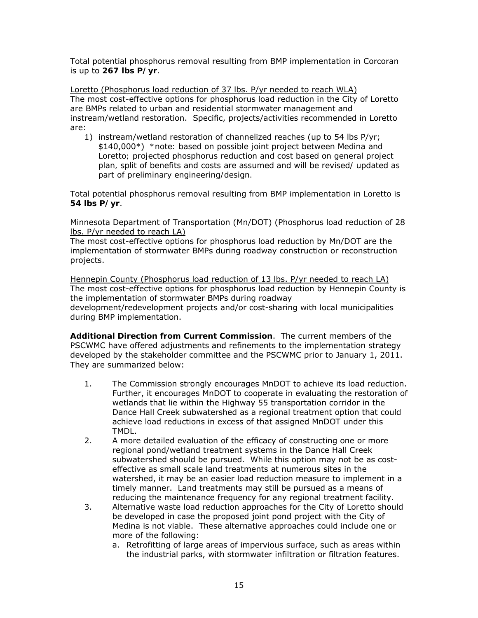Total potential phosphorus removal resulting from BMP implementation in Corcoran is up to **267 lbs P/yr**.

Loretto (Phosphorus load reduction of 37 lbs. P/yr needed to reach WLA) The most cost-effective options for phosphorus load reduction in the City of Loretto are BMPs related to urban and residential stormwater management and instream/wetland restoration. Specific, projects/activities recommended in Loretto are:

1) instream/wetland restoration of channelized reaches (up to 54 lbs P/yr; \$140,000\*) *\*note: based on possible joint project between Medina and Loretto; projected phosphorus reduction and cost based on general project plan, split of benefits and costs are assumed and will be revised/ updated as part of preliminary engineering/design.*

Total potential phosphorus removal resulting from BMP implementation in Loretto is **54 lbs P/yr**.

Minnesota Department of Transportation (Mn/DOT) (Phosphorus load reduction of 28 lbs. P/yr needed to reach LA)

The most cost-effective options for phosphorus load reduction by Mn/DOT are the implementation of stormwater BMPs during roadway construction or reconstruction projects.

Hennepin County (Phosphorus load reduction of 13 lbs. P/yr needed to reach LA) The most cost-effective options for phosphorus load reduction by Hennepin County is the implementation of stormwater BMPs during roadway development/redevelopment projects and/or cost-sharing with local municipalities during BMP implementation.

**Additional Direction from Current Commission**. The current members of the PSCWMC have offered adjustments and refinements to the implementation strategy developed by the stakeholder committee and the PSCWMC prior to January 1, 2011. They are summarized below:

- 1. The Commission strongly encourages MnDOT to achieve its load reduction. Further, it encourages MnDOT to cooperate in evaluating the restoration of wetlands that lie within the Highway 55 transportation corridor in the Dance Hall Creek subwatershed as a regional treatment option that could achieve load reductions in excess of that assigned MnDOT under this TMDL.
- 2. A more detailed evaluation of the efficacy of constructing one or more regional pond/wetland treatment systems in the Dance Hall Creek subwatershed should be pursued. While this option may not be as costeffective as small scale land treatments at numerous sites in the watershed, it may be an easier load reduction measure to implement in a timely manner. Land treatments may still be pursued as a means of reducing the maintenance frequency for any regional treatment facility.
- 3. Alternative waste load reduction approaches for the City of Loretto should be developed in case the proposed joint pond project with the City of Medina is not viable. These alternative approaches could include one or more of the following:
	- a. Retrofitting of large areas of impervious surface, such as areas within the industrial parks, with stormwater infiltration or filtration features.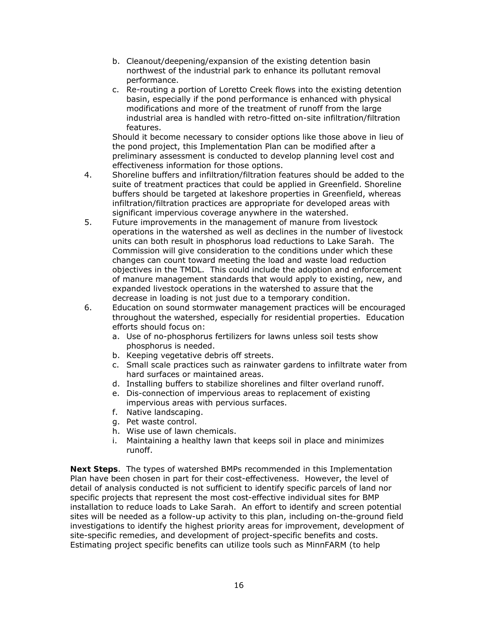- b. Cleanout/deepening/expansion of the existing detention basin northwest of the industrial park to enhance its pollutant removal performance.
- c. Re-routing a portion of Loretto Creek flows into the existing detention basin, especially if the pond performance is enhanced with physical modifications and more of the treatment of runoff from the large industrial area is handled with retro-fitted on-site infiltration/filtration features.

Should it become necessary to consider options like those above in lieu of the pond project, this Implementation Plan can be modified after a preliminary assessment is conducted to develop planning level cost and effectiveness information for those options.

- 4. Shoreline buffers and infiltration/filtration features should be added to the suite of treatment practices that could be applied in Greenfield. Shoreline buffers should be targeted at lakeshore properties in Greenfield, whereas infiltration/filtration practices are appropriate for developed areas with significant impervious coverage anywhere in the watershed.
- 5. Future improvements in the management of manure from livestock operations in the watershed as well as declines in the number of livestock units can both result in phosphorus load reductions to Lake Sarah. The Commission will give consideration to the conditions under which these changes can count toward meeting the load and waste load reduction objectives in the TMDL. This could include the adoption and enforcement of manure management standards that would apply to existing, new, and expanded livestock operations in the watershed to assure that the decrease in loading is not just due to a temporary condition.
- 6. Education on sound stormwater management practices will be encouraged throughout the watershed, especially for residential properties. Education efforts should focus on:
	- a. Use of no-phosphorus fertilizers for lawns unless soil tests show phosphorus is needed.
	- b. Keeping vegetative debris off streets.
	- c. Small scale practices such as rainwater gardens to infiltrate water from hard surfaces or maintained areas.
	- d. Installing buffers to stabilize shorelines and filter overland runoff.
	- e. Dis-connection of impervious areas to replacement of existing impervious areas with pervious surfaces.
	- f. Native landscaping.
	- g. Pet waste control.
	- h. Wise use of lawn chemicals.
	- i. Maintaining a healthy lawn that keeps soil in place and minimizes runoff.

**Next Steps**. The types of watershed BMPs recommended in this Implementation Plan have been chosen in part for their cost-effectiveness. However, the level of detail of analysis conducted is not sufficient to identify specific parcels of land nor specific projects that represent the most cost-effective individual sites for BMP installation to reduce loads to Lake Sarah. An effort to identify and screen potential sites will be needed as a follow-up activity to this plan, including on-the-ground field investigations to identify the highest priority areas for improvement, development of site-specific remedies, and development of project-specific benefits and costs. Estimating project specific benefits can utilize tools such as MinnFARM (to help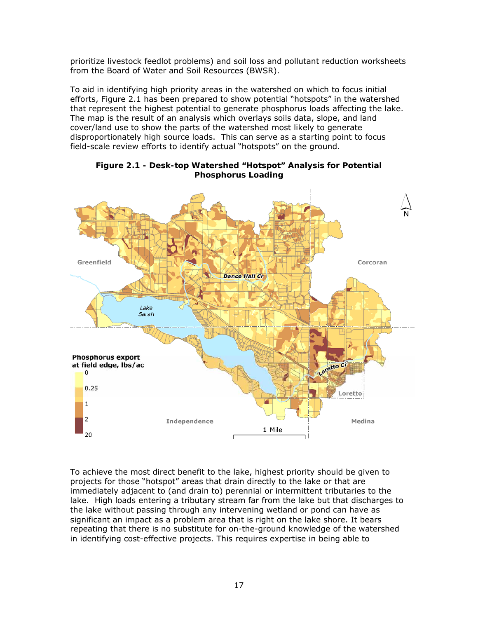prioritize livestock feedlot problems) and soil loss and pollutant reduction worksheets from the Board of Water and Soil Resources (BWSR).

To aid in identifying high priority areas in the watershed on which to focus initial efforts, Figure 2.1 has been prepared to show potential "hotspots" in the watershed that represent the highest potential to generate phosphorus loads affecting the lake. The map is the result of an analysis which overlays soils data, slope, and land cover/land use to show the parts of the watershed most likely to generate disproportionately high source loads. This can serve as a starting point to focus field-scale review efforts to identify actual "hotspots" on the ground.



#### **Figure 2.1 - Desk-top Watershed "Hotspot" Analysis for Potential Phosphorus Loading**

To achieve the most direct benefit to the lake, highest priority should be given to projects for those "hotspot" areas that drain directly to the lake or that are immediately adjacent to (and drain to) perennial or intermittent tributaries to the lake. High loads entering a tributary stream far from the lake but that discharges to the lake without passing through any intervening wetland or pond can have as significant an impact as a problem area that is right on the lake shore. It bears repeating that there is no substitute for on-the-ground knowledge of the watershed in identifying cost-effective projects. This requires expertise in being able to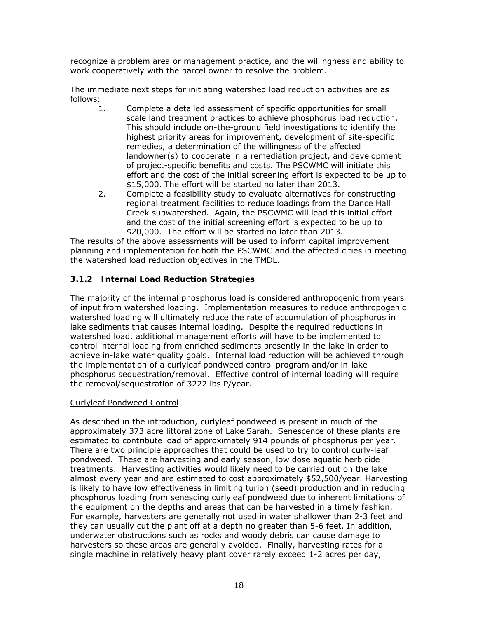recognize a problem area or management practice, and the willingness and ability to work cooperatively with the parcel owner to resolve the problem.

The immediate next steps for initiating watershed load reduction activities are as follows:

- 1. Complete a detailed assessment of specific opportunities for small scale land treatment practices to achieve phosphorus load reduction. This should include on-the-ground field investigations to identify the highest priority areas for improvement, development of site-specific remedies, a determination of the willingness of the affected landowner(s) to cooperate in a remediation project, and development of project-specific benefits and costs. The PSCWMC will initiate this effort and the cost of the initial screening effort is expected to be up to \$15,000. The effort will be started no later than 2013.
- 2. Complete a feasibility study to evaluate alternatives for constructing regional treatment facilities to reduce loadings from the Dance Hall Creek subwatershed. Again, the PSCWMC will lead this initial effort and the cost of the initial screening effort is expected to be up to \$20,000. The effort will be started no later than 2013.

The results of the above assessments will be used to inform capital improvement planning and implementation for both the PSCWMC and the affected cities in meeting the watershed load reduction objectives in the TMDL.

#### **3.1.2 Internal Load Reduction Strategies**

The majority of the internal phosphorus load is considered anthropogenic from years of input from watershed loading. Implementation measures to reduce anthropogenic watershed loading will ultimately reduce the rate of accumulation of phosphorus in lake sediments that causes internal loading. Despite the required reductions in watershed load, additional management efforts will have to be implemented to control internal loading from enriched sediments presently in the lake in order to achieve in-lake water quality goals. Internal load reduction will be achieved through the implementation of a curlyleaf pondweed control program and/or in-lake phosphorus sequestration/removal. Effective control of internal loading will require the removal/sequestration of 3222 lbs P/year.

#### Curlyleaf Pondweed Control

As described in the introduction, curlyleaf pondweed is present in much of the approximately 373 acre littoral zone of Lake Sarah. Senescence of these plants are estimated to contribute load of approximately 914 pounds of phosphorus per year. There are two principle approaches that could be used to try to control curly-leaf pondweed. These are harvesting and early season, low dose aquatic herbicide treatments. Harvesting activities would likely need to be carried out on the lake almost every year and are estimated to cost approximately \$52,500/year. Harvesting is likely to have low effectiveness in limiting turion (seed) production and in reducing phosphorus loading from senescing curlyleaf pondweed due to inherent limitations of the equipment on the depths and areas that can be harvested in a timely fashion. For example, harvesters are generally not used in water shallower than 2-3 feet and they can usually cut the plant off at a depth no greater than 5-6 feet. In addition, underwater obstructions such as rocks and woody debris can cause damage to harvesters so these areas are generally avoided. Finally, harvesting rates for a single machine in relatively heavy plant cover rarely exceed 1-2 acres per day,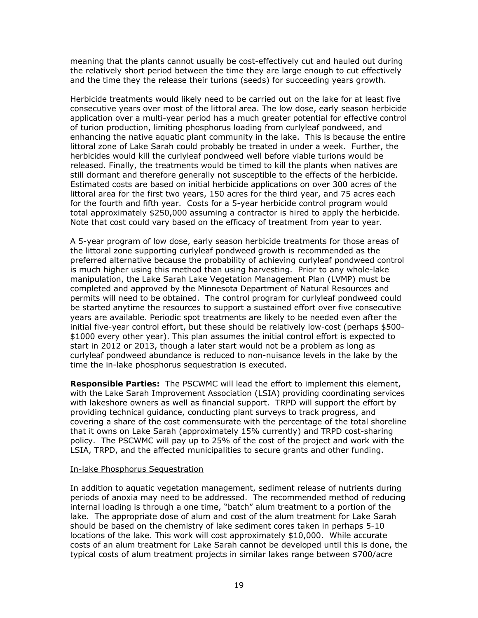meaning that the plants cannot usually be cost-effectively cut and hauled out during the relatively short period between the time they are large enough to cut effectively and the time they the release their turions (seeds) for succeeding years growth.

Herbicide treatments would likely need to be carried out on the lake for at least five consecutive years over most of the littoral area. The low dose, early season herbicide application over a multi-year period has a much greater potential for effective control of turion production, limiting phosphorus loading from curlyleaf pondweed, and enhancing the native aquatic plant community in the lake. This is because the entire littoral zone of Lake Sarah could probably be treated in under a week. Further, the herbicides would kill the curlyleaf pondweed well before viable turions would be released. Finally, the treatments would be timed to kill the plants when natives are still dormant and therefore generally not susceptible to the effects of the herbicide. Estimated costs are based on initial herbicide applications on over 300 acres of the littoral area for the first two years, 150 acres for the third year, and 75 acres each for the fourth and fifth year. Costs for a 5-year herbicide control program would total approximately \$250,000 assuming a contractor is hired to apply the herbicide. Note that cost could vary based on the efficacy of treatment from year to year.

A 5-year program of low dose, early season herbicide treatments for those areas of the littoral zone supporting curlyleaf pondweed growth is recommended as the preferred alternative because the probability of achieving curlyleaf pondweed control is much higher using this method than using harvesting. Prior to any whole-lake manipulation, the Lake Sarah Lake Vegetation Management Plan (LVMP) must be completed and approved by the Minnesota Department of Natural Resources and permits will need to be obtained. The control program for curlyleaf pondweed could be started anytime the resources to support a sustained effort over five consecutive years are available. Periodic spot treatments are likely to be needed even after the initial five-year control effort, but these should be relatively low-cost (perhaps \$500- \$1000 every other year). This plan assumes the initial control effort is expected to start in 2012 or 2013, though a later start would not be a problem as long as curlyleaf pondweed abundance is reduced to non-nuisance levels in the lake by the time the in-lake phosphorus sequestration is executed.

**Responsible Parties:** The PSCWMC will lead the effort to implement this element, with the Lake Sarah Improvement Association (LSIA) providing coordinating services with lakeshore owners as well as financial support. TRPD will support the effort by providing technical guidance, conducting plant surveys to track progress, and covering a share of the cost commensurate with the percentage of the total shoreline that it owns on Lake Sarah (approximately 15% currently) and TRPD cost-sharing policy. The PSCWMC will pay up to 25% of the cost of the project and work with the LSIA, TRPD, and the affected municipalities to secure grants and other funding.

#### In-lake Phosphorus Sequestration

In addition to aquatic vegetation management, sediment release of nutrients during periods of anoxia may need to be addressed. The recommended method of reducing internal loading is through a one time, "batch" alum treatment to a portion of the lake. The appropriate dose of alum and cost of the alum treatment for Lake Sarah should be based on the chemistry of lake sediment cores taken in perhaps 5-10 locations of the lake. This work will cost approximately \$10,000. While accurate costs of an alum treatment for Lake Sarah cannot be developed until this is done, the typical costs of alum treatment projects in similar lakes range between \$700/acre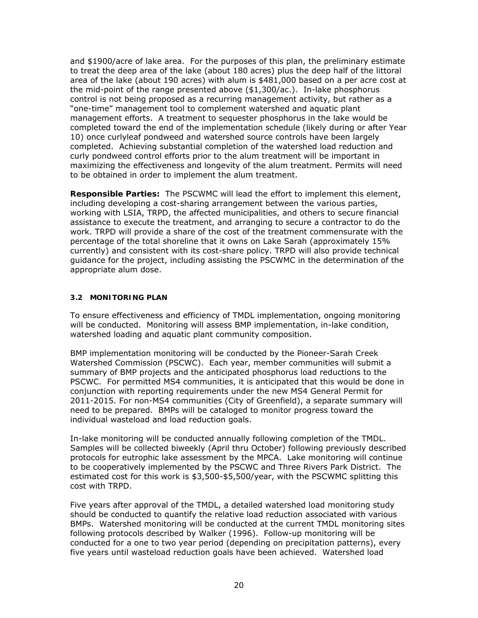and \$1900/acre of lake area. For the purposes of this plan, the preliminary estimate to treat the deep area of the lake (about 180 acres) plus the deep half of the littoral area of the lake (about 190 acres) with alum is \$481,000 based on a per acre cost at the mid-point of the range presented above (\$1,300/ac.). In-lake phosphorus control is not being proposed as a recurring management activity, but rather as a "one-time" management tool to complement watershed and aquatic plant management efforts. A treatment to sequester phosphorus in the lake would be completed toward the end of the implementation schedule (likely during or after Year 10) once curlyleaf pondweed and watershed source controls have been largely completed. Achieving substantial completion of the watershed load reduction and curly pondweed control efforts prior to the alum treatment will be important in maximizing the effectiveness and longevity of the alum treatment. Permits will need to be obtained in order to implement the alum treatment.

**Responsible Parties:** The PSCWMC will lead the effort to implement this element, including developing a cost-sharing arrangement between the various parties, working with LSIA, TRPD, the affected municipalities, and others to secure financial assistance to execute the treatment, and arranging to secure a contractor to do the work. TRPD will provide a share of the cost of the treatment commensurate with the percentage of the total shoreline that it owns on Lake Sarah (approximately 15% currently) and consistent with its cost-share policy. TRPD will also provide technical guidance for the project, including assisting the PSCWMC in the determination of the appropriate alum dose.

#### **3.2 MONITORING PLAN**

To ensure effectiveness and efficiency of TMDL implementation, ongoing monitoring will be conducted. Monitoring will assess BMP implementation, in-lake condition, watershed loading and aquatic plant community composition.

BMP implementation monitoring will be conducted by the Pioneer-Sarah Creek Watershed Commission (PSCWC). Each year, member communities will submit a summary of BMP projects and the anticipated phosphorus load reductions to the PSCWC. For permitted MS4 communities, it is anticipated that this would be done in conjunction with reporting requirements under the new MS4 General Permit for 2011-2015. For non-MS4 communities (City of Greenfield), a separate summary will need to be prepared. BMPs will be cataloged to monitor progress toward the individual wasteload and load reduction goals.

In-lake monitoring will be conducted annually following completion of the TMDL. Samples will be collected biweekly (April thru October) following previously described protocols for eutrophic lake assessment by the MPCA. Lake monitoring will continue to be cooperatively implemented by the PSCWC and Three Rivers Park District. The estimated cost for this work is \$3,500-\$5,500/year, with the PSCWMC splitting this cost with TRPD.

Five years after approval of the TMDL, a detailed watershed load monitoring study should be conducted to quantify the relative load reduction associated with various BMPs. Watershed monitoring will be conducted at the current TMDL monitoring sites following protocols described by Walker (1996). Follow-up monitoring will be conducted for a one to two year period (depending on precipitation patterns), every five years until wasteload reduction goals have been achieved. Watershed load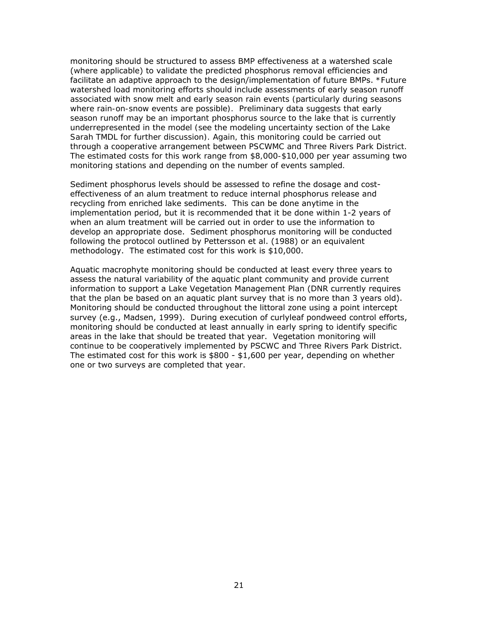monitoring should be structured to assess BMP effectiveness at a watershed scale (where applicable) to validate the predicted phosphorus removal efficiencies and facilitate an adaptive approach to the design/implementation of future BMPs. *\*Future watershed load monitoring efforts should include assessments of early season runoff associated with snow melt and early season rain events (particularly during seasons where rain-on-snow events are possible). Preliminary data suggests that early season runoff may be an important phosphorus source to the lake that is currently underrepresented in the model (see the modeling uncertainty section of the Lake Sarah TMDL for further discussion). Again, this monitoring could be carried out through a cooperative arrangement between PSCWMC and Three Rivers Park District. The estimated costs for this work range from \$8,000-\$10,000 per year assuming two monitoring stations and depending on the number of events sampled.* 

Sediment phosphorus levels should be assessed to refine the dosage and costeffectiveness of an alum treatment to reduce internal phosphorus release and recycling from enriched lake sediments. This can be done anytime in the implementation period, but it is recommended that it be done within 1-2 years of when an alum treatment will be carried out in order to use the information to develop an appropriate dose. Sediment phosphorus monitoring will be conducted following the protocol outlined by Pettersson et al. (1988) or an equivalent methodology. The estimated cost for this work is \$10,000.

Aquatic macrophyte monitoring should be conducted at least every three years to assess the natural variability of the aquatic plant community and provide current information to support a Lake Vegetation Management Plan (DNR currently requires that the plan be based on an aquatic plant survey that is no more than 3 years old). Monitoring should be conducted throughout the littoral zone using a point intercept survey (e.g., Madsen, 1999). During execution of curlyleaf pondweed control efforts, monitoring should be conducted at least annually in early spring to identify specific areas in the lake that should be treated that year. Vegetation monitoring will continue to be cooperatively implemented by PSCWC and Three Rivers Park District. The estimated cost for this work is  $$800 - $1,600$  per year, depending on whether one or two surveys are completed that year.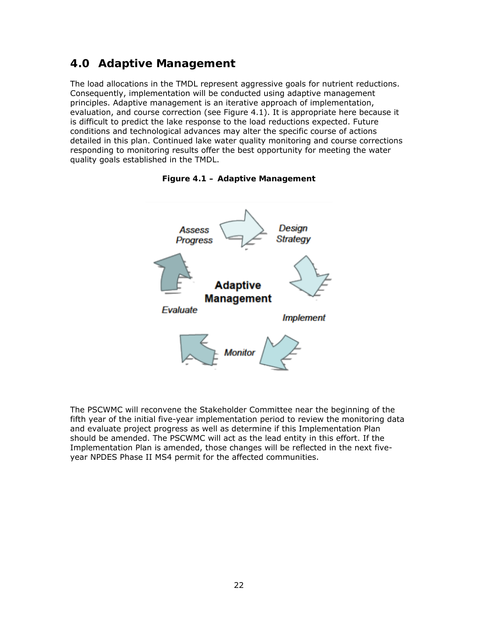# **4.0 Adaptive Management**

The load allocations in the TMDL represent aggressive goals for nutrient reductions. Consequently, implementation will be conducted using adaptive management principles. Adaptive management is an iterative approach of implementation, evaluation, and course correction (see Figure 4.1). It is appropriate here because it is difficult to predict the lake response to the load reductions expected. Future conditions and technological advances may alter the specific course of actions detailed in this plan. Continued lake water quality monitoring and course corrections responding to monitoring results offer the best opportunity for meeting the water quality goals established in the TMDL.





The PSCWMC will reconvene the Stakeholder Committee near the beginning of the fifth year of the initial five-year implementation period to review the monitoring data and evaluate project progress as well as determine if this Implementation Plan should be amended. The PSCWMC will act as the lead entity in this effort. If the Implementation Plan is amended, those changes will be reflected in the next fiveyear NPDES Phase II MS4 permit for the affected communities.